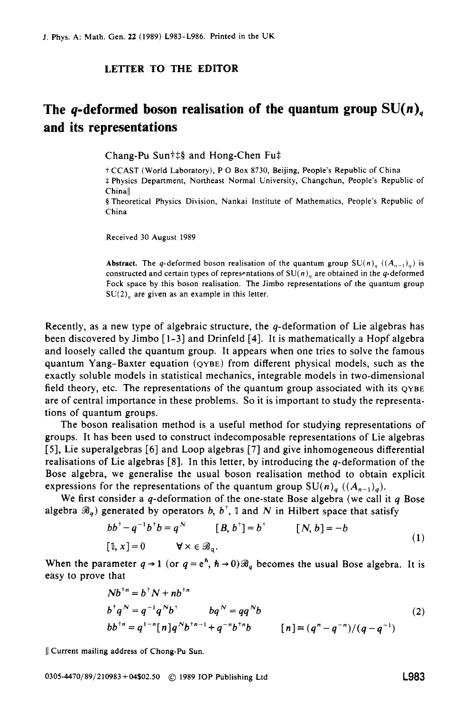## **LElTER TO THE EDITOR**

## The *q*-deformed boson realisation of the quantum group  $SU(n)$ <sub>a</sub> **and its representations**

Chang-Pu Sun $\ddagger\ddagger\frac{8}{3}$  and Hong-Chen Fu $\ddagger$ 

t CCAST (World Laboratory), P 0 Box **8730,** Beijing, People's Republic of China \$ Physics Department, Northeast Normal University, Changchun, People's Republic of Chinall

5 Theoretical Physics Division, Nankai Institute of Mathematics, People's Republic of China

Received **30** August **1989** 

**Abstract.** The q-deformed boson realisation of the quantum group  $SU(n)$ <sub>*i*</sub>  $((A_{n-1})_n)$  is constructed and certain types of representations of  $SU(n)$ , are obtained in the q-deformed Fock space by this boson realisation. The Jimbo representations of the quantum group SU(2)<sub>*n*</sub> are given as an example in this letter.

Recently, as a new type of algebraic structure, the q-deformation of Lie algebras has been discovered by Jimbo [ 1-31 and Drinfeld **[4].** It is mathematically a Hopf algebra and loosely called the quantum group. It appears when one tries to solve the famous quantum Yang-Baxter equation **(QYBE)** from different physical models, such as the exactly soluble models in statistical mechanics, integrable models in two-dimensional field theory, etc. The representations of the quantum group associated with its  $QYBE$ are of central importance in these problems. *So* it is important to study the representations of quantum groups.

The boson realisation method is a useful method for studying representations of groups. It has been used to construct indecomposable representations of Lie algebras [5], Lie superalgebras *[6]* and Loop algebras **[7]** and give inhomogeneous differential realisations of Lie algebras  $[8]$ . In this letter, by introducing the q-deformation of the Bose algebra, we generalise the usual boson realisation method to obtain explicit expressions for the representations of the quantum group  $SU(n)_{q}$  ( $(A_{n-1})_{q}$ ).

We first consider a  $q$ -deformation of the one-state Bose algebra (we call it  $q$  Bose algebra  $\mathcal{B}_q$ ) generated by operators b,  $b^{\dagger}$ , 1 and N in Hilbert space that satisfy

$$
bb+ - q-1b+b = qN \qquad [B, b+] = b+ \qquad [N, b] = -b
$$
  
[1, x] = 0 \qquad  $\forall$  x  $\in$   $\mathcal{B}_0$ . (1)

When the parameter  $q \rightarrow 1$  (or  $q = e^h$ ,  $h \rightarrow 0$ )  $\mathcal{B}_q$  becomes the usual Bose algebra. It is easy to prove that

$$
Nb^{+n} = b^{\dagger}N + nb^{+n}
$$
  
\n
$$
b^{\dagger}q^N = q^{-1}q^Nb^{\dagger}
$$
  
\n
$$
bb^{\dagger n} = q^{1-n}[n]q^Nb^{+n-1} + q^{-n}b^{+n}b
$$
  
\n
$$
[n] \equiv (q^n - q^{-n})/(q - q^{-1})
$$
  
\n(2)

<sup>11</sup>Current mailing address of Chong-Pu Sun.

**0305-4470/89/210983 +04\$02.50** @ **1989** IOP Publishing **Ltd L983**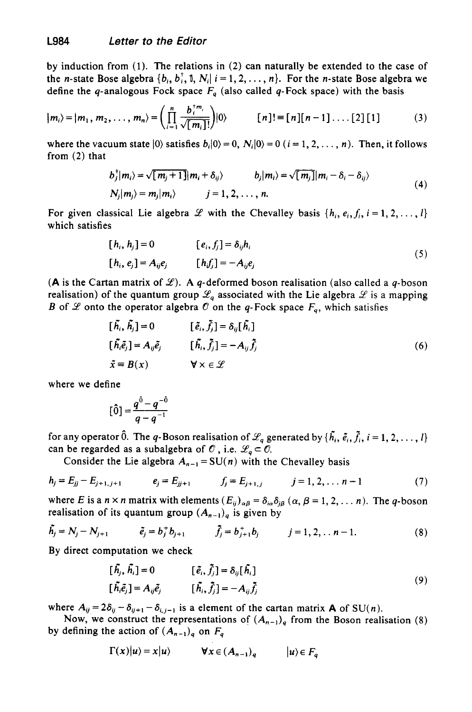by induction from **(1).** The relations in **(2)** can naturally be extended to the case of the *n*-state Bose algebra  $\{b_i, b_i^{\dagger}, 1, N_i | i = 1, 2, ..., n\}$ . For the *n*-state Bose algebra we define the q-analogous Fock space  $F_a$  (also called q-Fock space) with the basis

$$
|m_i\rangle = |m_1, m_2, \dots, m_n\rangle = \left(\prod_{i=1}^n \frac{b_i^{+m_i}}{\sqrt{[m_i]!}}\right)|0\rangle \qquad [n]! \equiv [n][n-1] \dots [2][1] \qquad (3)
$$

where the vacuum state  $|0\rangle$  satisfies  $b_i|0\rangle = 0$ ,  $N_i|0\rangle = 0$  ( $i = 1, 2, ..., n$ ). Then, it follows from **(2)** that

$$
b_j^{\dagger} |m_i\rangle = \sqrt{[m_j + 1]} |m_i + \delta_{ij}\rangle
$$
  
\n
$$
b_j |m_i\rangle = \sqrt{[m_j]} |m_i - \delta_i - \delta_{ij}\rangle
$$
  
\n
$$
N_j |m_j\rangle = m_j |m_i\rangle
$$
  
\n
$$
j = 1, 2, ..., n.
$$
\n(4)

For given classical Lie algebra *Y* with the Chevalley basis  $\{h_i, e_i, f_i, i = 1, 2, \ldots, l\}$ which satisfies

$$
[h_i, h_j] = 0 \qquad [e_i, f_j] = \delta_{ij} h_i
$$
  
\n
$$
[h_i, e_j] = A_{ij} e_j \qquad [h_i f_j] = -A_{ij} e_j
$$
\n
$$
(5)
$$

**(A** is the Cartan matrix of  $\mathcal{L}$ ). A q-deformed boson realisation (also called a q-boson realisation) of the quantum group  $\mathscr{L}_q$  associated with the Lie algebra  $\mathscr L$  is a mapping B of *Y* onto the operator algebra  $\mathcal O$  on the q-Fock space  $F_q$ , which satisfies

$$
[\tilde{h}_i, \tilde{h}_j] = 0 \qquad [\tilde{e}_i, \tilde{f}_j] = \delta_{ij} [\tilde{h}_i]
$$
  
\n
$$
[\tilde{h}_i \tilde{e}_j] = A_{ij} \tilde{e}_j \qquad [\tilde{h}_i, \tilde{f}_j] = -A_{ij} \tilde{f}_j
$$
  
\n
$$
\tilde{x} = B(x) \qquad \forall x \in \mathscr{L}
$$
\n(6)

where we define

$$
[\hat{0}] = \frac{q^{\hat{0}} - q^{-\hat{0}}}{q - q^{-1}}
$$

for any operator  $\hat{0}$ . The q-Boson realisation of  $\mathcal{L}_q$  generated by  $\{\tilde{h_i}, \tilde{e_i}, \tilde{f_i}, i = 1, 2, ..., l\}$ can be regarded as a subalgebra of  $\mathcal{O}$ , i.e.  $\mathcal{L}_q \subset \mathcal{O}$ .

Consider the Lie algebra  $A_{n-1} = SU(n)$  with the Chevalley basis

$$
h_j = E_{jj} - E_{j+1,j+1} \qquad e_j = E_{jj+1} \qquad f_j = E_{j+1,j} \qquad j = 1, 2, \ldots n-1 \qquad (7)
$$

where E is a  $n \times n$  matrix with elements  $(E_{ij})_{\alpha\beta} = \delta_{i\alpha}\delta_{i\beta}$   $(\alpha, \beta = 1, 2, \dots n)$ . The q-boson realisation of its quantum group  $(A_{n-1})_q$  is given by

$$
\tilde{h}_j = N_j - N_{j+1} \qquad \tilde{e}_j = b_j^+ b_{j+1} \qquad \tilde{f}_j = b_{j+1}^+ b_j \qquad j = 1, 2, \ldots n-1. \tag{8}
$$

By direct computation we check

$$
[\tilde{h}_j, \tilde{h}_i] = 0 \qquad [\tilde{e}_i, \tilde{f}_j] = \delta_{ij} [\tilde{h}_i]
$$
  

$$
[\tilde{h}_i \tilde{e}_j] = A_{ij} \tilde{e}_j \qquad [\tilde{h}_i, \tilde{f}_j] = -A_{ij} \tilde{f}_j
$$
 (9)

where  $A_{ij} = 2\delta_{ij} - \delta_{ij+1} - \delta_{i,j-1}$  is a element of the cartan matrix **A** of SU(*n*).

by defining the action of  $(A_{n-1})_q$  on  $F_q$ Now, we construct the representations of  $(A_{n-1})_q$  from the Boson realisation (8)

$$
\Gamma(x)|u\rangle = x|u\rangle
$$
  $\forall x \in (A_{n-1})_q$   $|u\rangle \in F_q$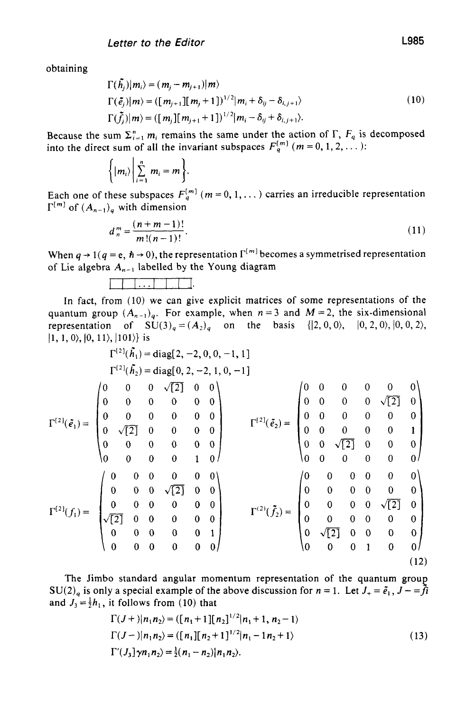obtaining

$$
\Gamma(\tilde{h}_j)|m_i\rangle = (m_j - m_{j+1})|m\rangle \n\Gamma(\tilde{e}_j)|m\rangle = ([m_{j+1}][m_j + 1])^{1/2}|m_i + \delta_{ij} - \delta_{i,j+1}\rangle \n\Gamma(\tilde{f}_j)|m\rangle = ([m_j][m_{j+1} + 1])^{1/2}|m_i - \delta_{ij} + \delta_{i,j+1}\rangle.
$$
\n(10)

Because the sum  $\Sigma_{i=1}^n m_i$  remains the same under the action of  $\Gamma$ ,  $F_q$  is decomposed into the direct sum of all the invariant subspaces  $F_q^{[m]}$  ( $m = 0, 1, 2, ...$ ):

$$
\bigg\{ |m_i\rangle \bigg| \sum_{i=1}^n m_i = m \bigg\}.
$$

Each one of these subspaces  $F_q^{[m]}$   $(m = 0, 1, ...)$  carries an irreducible representation  $\Gamma^{[m]}$  of  $(A_{n-1})_q$  with dimension

$$
d_n^m = \frac{(n+m-1)!}{m!(n-1)!}.
$$
\n(11)

When  $q \rightarrow 1 (q = e, \hbar \rightarrow 0)$ , the representation  $\Gamma^{[m]}$  becomes a symmetrised representation of Lie algebra  $A_{n-1}$  labelled by the Young diagram

<sup>111</sup>... HII.

In fact, from (10) we can give explicit matrices of some representations of the quantum group  $(A_{n-1})_q$ . For example, when  $n = 3$  and  $M = 2$ , the six-dimensional representation of  $SU(3)_q = (A_2)_q$  on the basis  $\{ |2, 0, 0\rangle, |0, 2, 0\rangle, |0, 0, 2\rangle,$  $|1, 1, 0\rangle, |0, 11\rangle, |101\rangle$  is

$$
\Gamma^{[2]}(\tilde{F}_1) = \begin{pmatrix}\n0 & 0 & 0 & 0 & 0 \\
0 & 0 & 0 & 0 & 0 \\
0 & 0 & 0 & 0 & 0 \\
0 & 0 & 0 & 0 & 0 \\
0 & 0 & 0 & 0 & 0 \\
0 & 0 & 0 & 0 & 0 \\
0 & 0 & 0 & 0 & 0 \\
0 & 0 & 0 & 0 & 0 \\
0 & 0 & 0 & 0 & 0 \\
0 & 0 & 0 & 0 & 0 \\
0 & 0 & 0 & 0 & 0 \\
0 & 0 & 0 & 0 & 0 \\
0 & 0 & 0 & 0 & 0 \\
0 & 0 & 0 & 0 & 0 \\
0 & 0 & 0 & 0 & 0 \\
0 & 0 & 0 & 0 & 0 \\
0 & 0 & 0 & 0 & 0 \\
0 & 0 & 0 & 0 & 0 \\
0 & 0 & 0 & 0 & 0 \\
0 & 0 & 0 & 0 & 0 \\
0 & 0 & 0 & 0 & 0 \\
0 & 0 & 0 & 0 & 0 \\
0 & 0 & 0 & 0 & 0\n\end{pmatrix}
$$
\n
$$
\Gamma^{[2]}(\tilde{F}_2) = \begin{pmatrix}\n0 & 0 & 0 & 0 & 0 & 0 \\
0 & 0 & 0 & 0 & 0 & 0 \\
0 & 0 & 0 & 0 & 0 & 0 \\
0 & 0 & 0 & 0 & 0 & 0 \\
0 & 0 & 0 & 0 & 0 & 0 \\
0 & 0 & 0 & 0 & 0 & 0 \\
0 & 0 & 0 & 0 & 0 & 0 \\
0 & 0 & 0 & 0 & 0 & 0 \\
0 & 0 & 0 & 0 & 0 & 0 \\
0 & 0 & 0 & 0 & 0 & 0\n\end{pmatrix}
$$
\n
$$
\Gamma^{[2]}(f_1) = \begin{pmatrix}\n0 & 0 & 0 & 0 & 0 & 0 \\
0 & 0 & 0 & 0 & 0 & 0 \\
0 & 0 & 0 & 0 & 0 & 0 \\
0 & 0 & 0 & 0 & 0 & 0 \\
0 & 0 & 0 & 0 & 0 & 0 \\
0 & 0 & 0 & 0 & 0 & 0 \\
0 & 0 & 0 & 0 & 0 & 0 \\
0 & 0 & 0 & 1 & 0 & 0\n\end{pmatrix}
$$

The Jimbo standard angular momentum representation of the quantum group  $SU(2)_q$  is only a special example of the above discussion for  $n = 1$ . Let  $J_+ = \tilde{e}_1$ ,  $J_- = \tilde{f}i$ and  $J_3 = \frac{1}{2}h_1$ , it follows from (10) that

$$
\Gamma(J+)|n_1n_2\rangle = (\lfloor n_1+1\rfloor\lfloor n_2\rfloor^{1/2}|n_1+1, n_2-1\rangle)
$$
  
\n
$$
\Gamma(J-)|n_1n_2\rangle = (\lfloor n_1\rfloor\lfloor n_2+1\rfloor^{1/2}|n_1-1n_2+1\rangle)
$$
  
\n
$$
\Gamma'(J_3)\gamma n_1n_2\rangle = \frac{1}{2}(n_1-n_2)|n_1n_2\rangle.
$$
 (13)